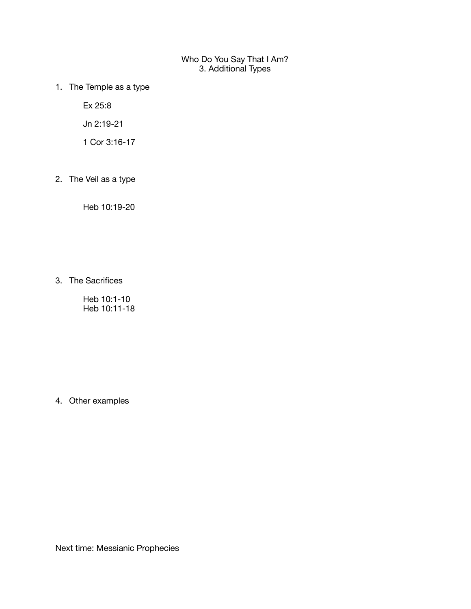## Who Do You Say That I Am? 3. Additional Types

1. The Temple as a type

Ex 25:8

Jn 2:19-21

1 Cor 3:16-17

2. The Veil as a type

Heb 10:19-20

3. The Sacrifices

Heb 10:1-10 Heb 10:11-18

4. Other examples

Next time: Messianic Prophecies